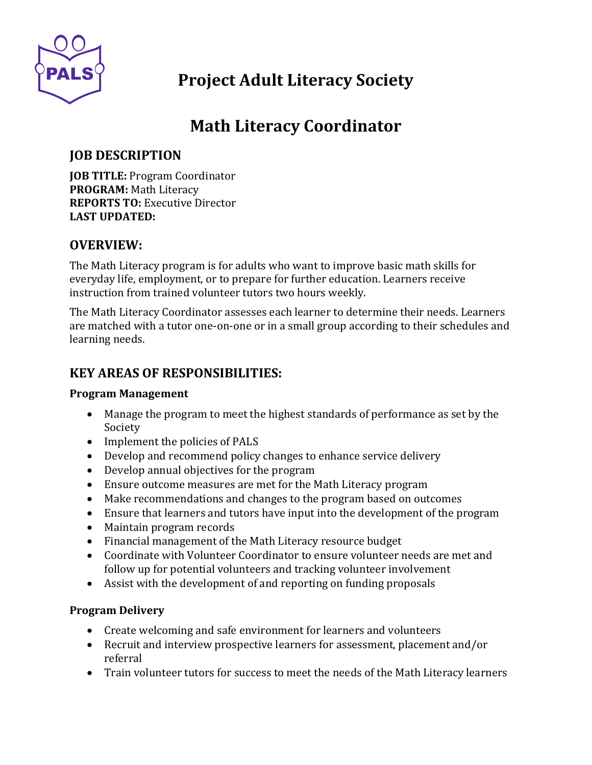

# **Project Adult Literacy Society**

# **Math Literacy Coordinator**

# **JOB DESCRIPTION**

**JOB TITLE:** Program Coordinator **PROGRAM:** Math Literacy **REPORTS TO:** Executive Director **LAST UPDATED:**

### **OVERVIEW:**

The Math Literacy program is for adults who want to improve basic math skills for everyday life, employment, or to prepare for further education. Learners receive instruction from trained volunteer tutors two hours weekly.

The Math Literacy Coordinator assesses each learner to determine their needs. Learners are matched with a tutor one-on-one or in a small group according to their schedules and learning needs.

# **KEY AREAS OF RESPONSIBILITIES:**

#### **Program Management**

- Manage the program to meet the highest standards of performance as set by the Society
- Implement the policies of PALS
- Develop and recommend policy changes to enhance service delivery
- Develop annual objectives for the program
- Ensure outcome measures are met for the Math Literacy program
- Make recommendations and changes to the program based on outcomes
- Ensure that learners and tutors have input into the development of the program
- Maintain program records
- Financial management of the Math Literacy resource budget
- Coordinate with Volunteer Coordinator to ensure volunteer needs are met and follow up for potential volunteers and tracking volunteer involvement
- Assist with the development of and reporting on funding proposals

#### **Program Delivery**

- Create welcoming and safe environment for learners and volunteers
- Recruit and interview prospective learners for assessment, placement and/or referral
- Train volunteer tutors for success to meet the needs of the Math Literacy learners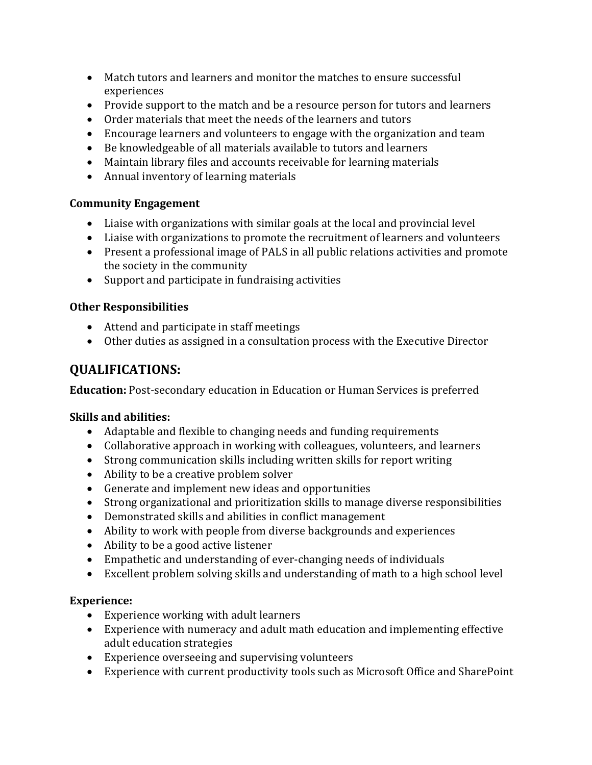- Match tutors and learners and monitor the matches to ensure successful experiences
- Provide support to the match and be a resource person for tutors and learners
- Order materials that meet the needs of the learners and tutors
- Encourage learners and volunteers to engage with the organization and team
- Be knowledgeable of all materials available to tutors and learners
- Maintain library files and accounts receivable for learning materials
- Annual inventory of learning materials

#### **Community Engagement**

- Liaise with organizations with similar goals at the local and provincial level
- Liaise with organizations to promote the recruitment of learners and volunteers
- Present a professional image of PALS in all public relations activities and promote the society in the community
- Support and participate in fundraising activities

#### **Other Responsibilities**

- Attend and participate in staff meetings
- Other duties as assigned in a consultation process with the Executive Director

# **QUALIFICATIONS:**

**Education:** Post-secondary education in Education or Human Services is preferred

#### **Skills and abilities:**

- Adaptable and flexible to changing needs and funding requirements
- Collaborative approach in working with colleagues, volunteers, and learners
- Strong communication skills including written skills for report writing
- Ability to be a creative problem solver
- Generate and implement new ideas and opportunities
- Strong organizational and prioritization skills to manage diverse responsibilities
- Demonstrated skills and abilities in conflict management
- Ability to work with people from diverse backgrounds and experiences
- Ability to be a good active listener
- Empathetic and understanding of ever-changing needs of individuals
- Excellent problem solving skills and understanding of math to a high school level

#### **Experience:**

- Experience working with adult learners
- Experience with numeracy and adult math education and implementing effective adult education strategies
- Experience overseeing and supervising volunteers
- Experience with current productivity tools such as Microsoft Office and SharePoint